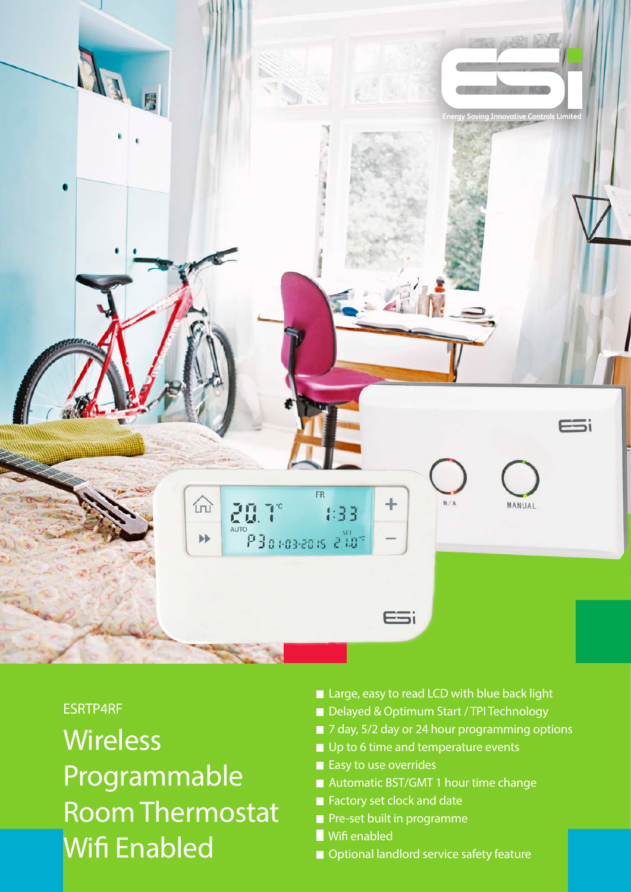

ESRTP4RF

**Wireless** Programmable Room Thermostat Wifi Enabled

- Large, easy to read LCD with blue back light
- Delayed & Optimum Start / TPI Technology
- 7 day, 5/2 day or 24 hour programming options
- Up to 6 time and temperature events
- Easy to use overrides
- Automatic BST/GMT 1 hour time change
- Factory set clock and date
- Pre-set built in programme
- **Wifi enabled**
- Optional landlord service safety feature